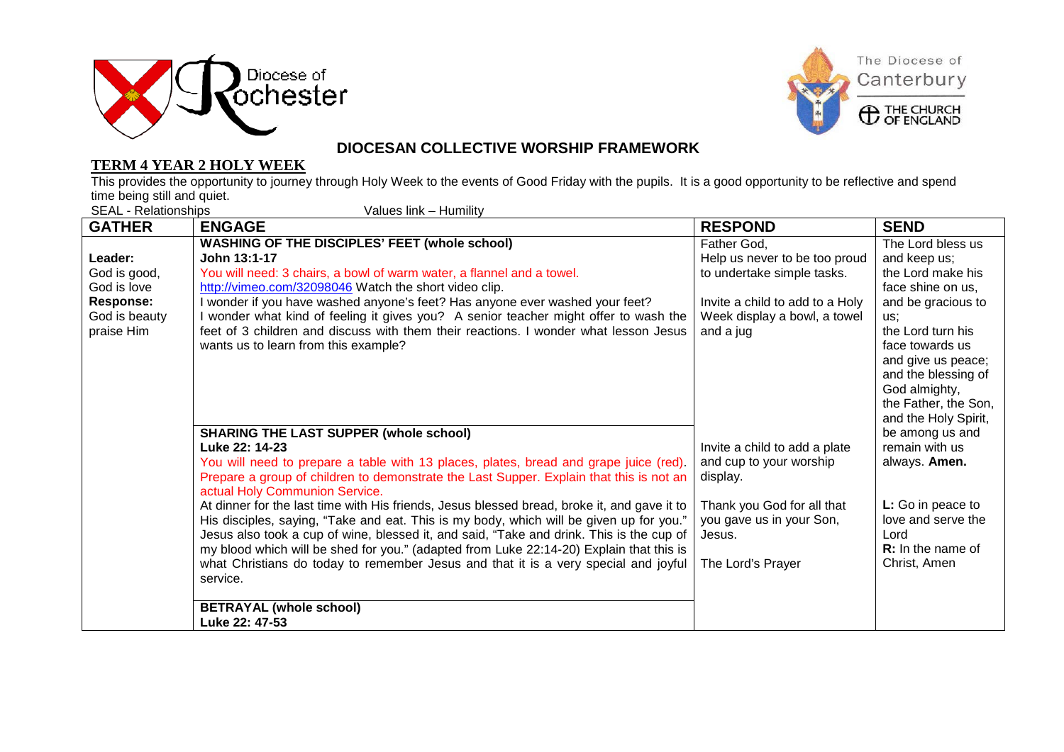



**ED THE CHURCH** 

#### **TERM 4 YEAR 2 HOLY WEEK**

### **DIOCESAN COLLECTIVE WORSHIP FRAMEWORK**

This provides the opportunity to journey through Holy Week to the events of Good Friday with the pupils. It is a good opportunity to be reflective and spend time being still and quiet.<br>SEAL - Relationships

Values link – Humility

| <b>GATHER</b>    | <b>ENGAGE</b>                                                                               | <b>RESPOND</b>                  | <b>SEND</b>                             |
|------------------|---------------------------------------------------------------------------------------------|---------------------------------|-----------------------------------------|
|                  | <b>WASHING OF THE DISCIPLES' FEET (whole school)</b>                                        | Father God,                     | The Lord bless us                       |
| Leader:          | John 13:1-17                                                                                | Help us never to be too proud   | and keep us;                            |
| God is good,     | You will need: 3 chairs, a bowl of warm water, a flannel and a towel.                       | to undertake simple tasks.      | the Lord make his                       |
| God is love      | http://vimeo.com/32098046 Watch the short video clip.                                       |                                 | face shine on us.                       |
| <b>Response:</b> | I wonder if you have washed anyone's feet? Has anyone ever washed your feet?                | Invite a child to add to a Holy | and be gracious to                      |
| God is beauty    | I wonder what kind of feeling it gives you? A senior teacher might offer to wash the        | Week display a bowl, a towel    | us:                                     |
| praise Him       | feet of 3 children and discuss with them their reactions. I wonder what lesson Jesus        | and a jug                       | the Lord turn his                       |
|                  | wants us to learn from this example?                                                        |                                 | face towards us                         |
|                  |                                                                                             |                                 | and give us peace;                      |
|                  |                                                                                             |                                 | and the blessing of                     |
|                  |                                                                                             |                                 | God almighty,                           |
|                  |                                                                                             |                                 | the Father, the Son,                    |
|                  | <b>SHARING THE LAST SUPPER (whole school)</b>                                               |                                 | and the Holy Spirit,<br>be among us and |
|                  | Luke 22: 14-23                                                                              | Invite a child to add a plate   | remain with us                          |
|                  | You will need to prepare a table with 13 places, plates, bread and grape juice (red).       | and cup to your worship         | always. Amen.                           |
|                  | Prepare a group of children to demonstrate the Last Supper. Explain that this is not an     | display.                        |                                         |
|                  | actual Holy Communion Service.                                                              |                                 |                                         |
|                  | At dinner for the last time with His friends, Jesus blessed bread, broke it, and gave it to | Thank you God for all that      | L: Go in peace to                       |
|                  | His disciples, saying, "Take and eat. This is my body, which will be given up for you."     | you gave us in your Son,        | love and serve the                      |
|                  | Jesus also took a cup of wine, blessed it, and said, "Take and drink. This is the cup of    | Jesus.                          | Lord                                    |
|                  | my blood which will be shed for you." (adapted from Luke 22:14-20) Explain that this is     |                                 | <b>R:</b> In the name of                |
|                  | what Christians do today to remember Jesus and that it is a very special and joyful         | The Lord's Prayer               | Christ, Amen                            |
|                  | service.                                                                                    |                                 |                                         |
|                  |                                                                                             |                                 |                                         |
|                  | <b>BETRAYAL (whole school)</b>                                                              |                                 |                                         |
|                  | Luke 22: 47-53                                                                              |                                 |                                         |